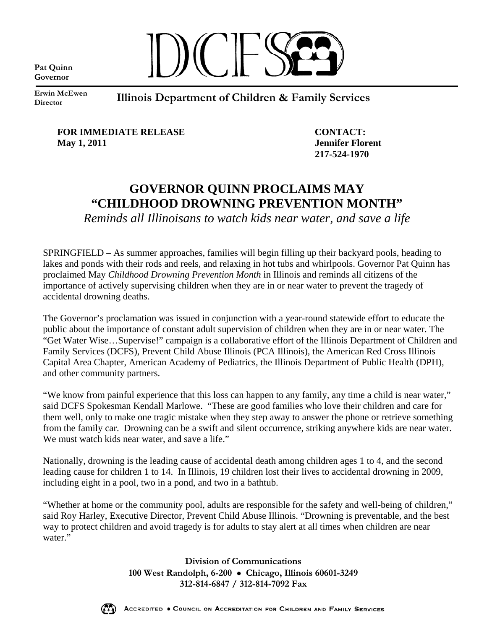**Pat Quinn Governor**



**Erwin McEwen Director** 

**Illinois Department of Children & Family Services** 

**FOR IMMEDIATE RELEASE CONTACT: May 1, 2011** Jennifer Florent

 **217-524-1970** 

## **GOVERNOR QUINN PROCLAIMS MAY "CHILDHOOD DROWNING PREVENTION MONTH"**

*Reminds all Illinoisans to watch kids near water, and save a life* 

SPRINGFIELD – As summer approaches, families will begin filling up their backyard pools, heading to lakes and ponds with their rods and reels, and relaxing in hot tubs and whirlpools. Governor Pat Quinn has proclaimed May *Childhood Drowning Prevention Month* in Illinois and reminds all citizens of the importance of actively supervising children when they are in or near water to prevent the tragedy of accidental drowning deaths.

The Governor's proclamation was issued in conjunction with a year-round statewide effort to educate the public about the importance of constant adult supervision of children when they are in or near water. The "Get Water Wise…Supervise!" campaign is a collaborative effort of the Illinois Department of Children and Family Services (DCFS), Prevent Child Abuse Illinois (PCA Illinois), the American Red Cross Illinois Capital Area Chapter, American Academy of Pediatrics, the Illinois Department of Public Health (DPH), and other community partners.

"We know from painful experience that this loss can happen to any family, any time a child is near water," said DCFS Spokesman Kendall Marlowe. "These are good families who love their children and care for them well, only to make one tragic mistake when they step away to answer the phone or retrieve something from the family car. Drowning can be a swift and silent occurrence, striking anywhere kids are near water. We must watch kids near water, and save a life."

Nationally, drowning is the leading cause of accidental death among children ages 1 to 4, and the second leading cause for children 1 to 14. In Illinois, 19 children lost their lives to accidental drowning in 2009, including eight in a pool, two in a pond, and two in a bathtub.

"Whether at home or the community pool, adults are responsible for the safety and well-being of children," said Roy Harley, Executive Director, Prevent Child Abuse Illinois. "Drowning is preventable, and the best way to protect children and avoid tragedy is for adults to stay alert at all times when children are near water."

> **Division of Communications 100 West Randolph, 6-200** • **Chicago, Illinois 60601-3249 312-814-6847 / 312-814-7092 Fax**